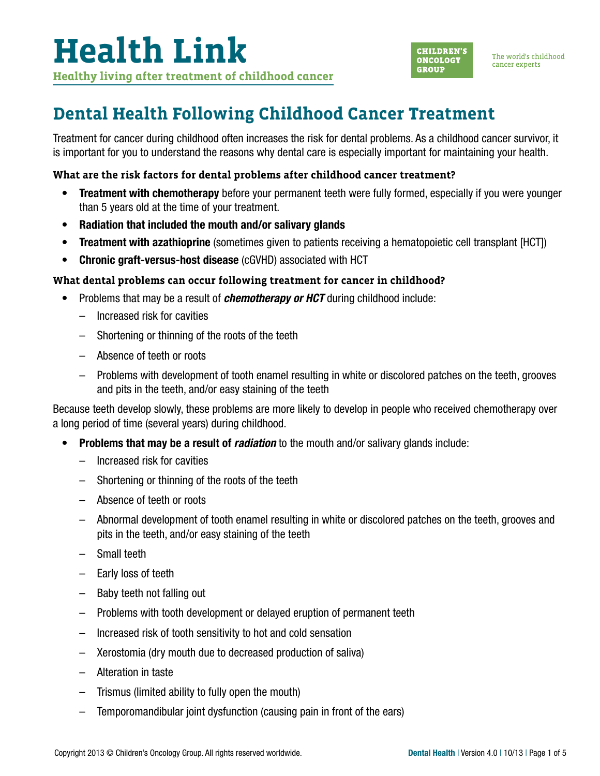

### **Dental Health Following Childhood Cancer Treatment**

Treatment for cancer during childhood often increases the risk for dental problems. As a childhood cancer survivor, it is important for you to understand the reasons why dental care is especially important for maintaining your health.

#### **What are the risk factors for dental problems after childhood cancer treatment?**

- Treatment with chemotherapy before your permanent teeth were fully formed, especially if you were younger than 5 years old at the time of your treatment.
- Radiation that included the mouth and/or salivary glands
- Treatment with azathioprine (sometimes given to patients receiving a hematopoietic cell transplant [HCT])
- Chronic graft-versus-host disease (cGVHD) associated with HCT

#### **What dental problems can occur following treatment for cancer in childhood?**

- Problems that may be a result of *chemotherapy or HCT* during childhood include:
	- Increased risk for cavities
	- Shortening or thinning of the roots of the teeth
	- Absence of teeth or roots
	- Problems with development of tooth enamel resulting in white or discolored patches on the teeth, grooves and pits in the teeth, and/or easy staining of the teeth

Because teeth develop slowly, these problems are more likely to develop in people who received chemotherapy over a long period of time (several years) during childhood.

- Problems that may be a result of *radiation* to the mouth and/or salivary glands include:
	- Increased risk for cavities
	- Shortening or thinning of the roots of the teeth
	- Absence of teeth or roots
	- Abnormal development of tooth enamel resulting in white or discolored patches on the teeth, grooves and pits in the teeth, and/or easy staining of the teeth
	- Small teeth
	- Early loss of teeth
	- Baby teeth not falling out
	- Problems with tooth development or delayed eruption of permanent teeth
	- Increased risk of tooth sensitivity to hot and cold sensation
	- Xerostomia (dry mouth due to decreased production of saliva)
	- Alteration in taste
	- Trismus (limited ability to fully open the mouth)
	- Temporomandibular joint dysfunction (causing pain in front of the ears)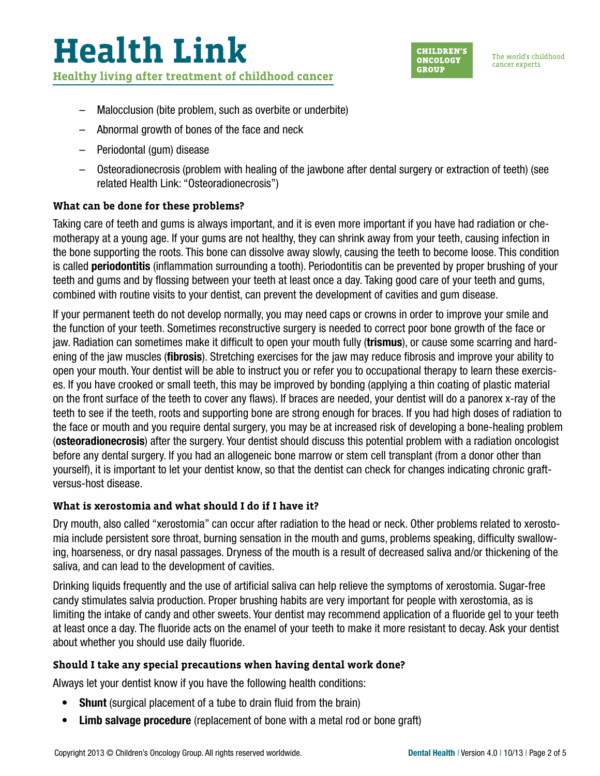

The world's childhood cancer experts

- Malocclusion (bite problem, such as overbite or underbite)
- Abnormal growth of bones of the face and neck
- Periodontal (gum) disease
- Osteoradionecrosis (problem with healing of the jawbone after dental surgery or extraction of teeth) (see related Health Link: "Osteoradionecrosis")

#### **What can be done for these problems?**

Taking care of teeth and gums is always important, and it is even more important if you have had radiation or chemotherapy at a young age. If your gums are not healthy, they can shrink away from your teeth, causing infection in the bone supporting the roots. This bone can dissolve away slowly, causing the teeth to become loose. This condition is called **periodontitis** (inflammation surrounding a tooth). Periodontitis can be prevented by proper brushing of your teeth and gums and by flossing between your teeth at least once a day. Taking good care of your teeth and gums, combined with routine visits to your dentist, can prevent the development of cavities and gum disease.

If your permanent teeth do not develop normally, you may need caps or crowns in order to improve your smile and the function of your teeth. Sometimes reconstructive surgery is needed to correct poor bone growth of the face or jaw. Radiation can sometimes make it difficult to open your mouth fully (trismus), or cause some scarring and hardening of the jaw muscles (**fibrosis**). Stretching exercises for the jaw may reduce fibrosis and improve your ability to open your mouth. Your dentist will be able to instruct you or refer you to occupational therapy to learn these exercises. If you have crooked or small teeth, this may be improved by bonding (applying a thin coating of plastic material on the front surface of the teeth to cover any flaws). If braces are needed, your dentist will do a panorex x-ray of the teeth to see if the teeth, roots and supporting bone are strong enough for braces. If you had high doses of radiation to the face or mouth and you require dental surgery, you may be at increased risk of developing a bone-healing problem (osteoradionecrosis) after the surgery. Your dentist should discuss this potential problem with a radiation oncologist before any dental surgery. If you had an allogeneic bone marrow or stem cell transplant (from a donor other than yourself), it is important to let your dentist know, so that the dentist can check for changes indicating chronic graftversus-host disease.

#### **What is xerostomia and what should I do if I have it?**

Dry mouth, also called "xerostomia" can occur after radiation to the head or neck. Other problems related to xerostomia include persistent sore throat, burning sensation in the mouth and gums, problems speaking, difficulty swallowing, hoarseness, or dry nasal passages. Dryness of the mouth is a result of decreased saliva and/or thickening of the saliva, and can lead to the development of cavities.

Drinking liquids frequently and the use of artificial saliva can help relieve the symptoms of xerostomia. Sugar-free candy stimulates salvia production. Proper brushing habits are very important for people with xerostomia, as is limiting the intake of candy and other sweets. Your dentist may recommend application of a fluoride gel to your teeth at least once a day. The fluoride acts on the enamel of your teeth to make it more resistant to decay. Ask your dentist about whether you should use daily fluoride.

### **Should I take any special precautions when having dental work done?**

Always let your dentist know if you have the following health conditions:

- Shunt (surgical placement of a tube to drain fluid from the brain)
- Limb salvage procedure (replacement of bone with a metal rod or bone graft)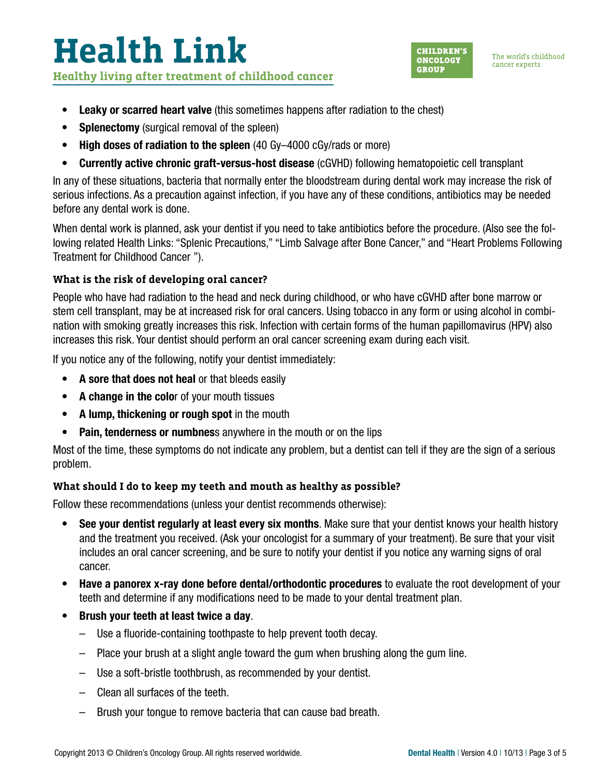# **Health Link Healthy living after treatment of childhood cancer**



The world's childhood cancer experts

- Leaky or scarred heart valve (this sometimes happens after radiation to the chest)
- Splenectomy (surgical removal of the spleen)
- High doses of radiation to the spleen (40 Gy-4000 cGy/rads or more)
- Currently active chronic graft-versus-host disease (cGVHD) following hematopoietic cell transplant

In any of these situations, bacteria that normally enter the bloodstream during dental work may increase the risk of serious infections. As a precaution against infection, if you have any of these conditions, antibiotics may be needed before any dental work is done.

When dental work is planned, ask your dentist if you need to take antibiotics before the procedure. (Also see the following related Health Links: "Splenic Precautions," "Limb Salvage after Bone Cancer," and "Heart Problems Following Treatment for Childhood Cancer ").

#### **What is the risk of developing oral cancer?**

People who have had radiation to the head and neck during childhood, or who have cGVHD after bone marrow or stem cell transplant, may be at increased risk for oral cancers. Using tobacco in any form or using alcohol in combination with smoking greatly increases this risk. Infection with certain forms of the human papillomavirus (HPV) also increases this risk. Your dentist should perform an oral cancer screening exam during each visit.

If you notice any of the following, notify your dentist immediately:

- A sore that does not heal or that bleeds easily
- A change in the color of your mouth tissues
- A lump, thickening or rough spot in the mouth
- Pain, tenderness or numbness anywhere in the mouth or on the lips

Most of the time, these symptoms do not indicate any problem, but a dentist can tell if they are the sign of a serious problem.

### **What should I do to keep my teeth and mouth as healthy as possible?**

Follow these recommendations (unless your dentist recommends otherwise):

- See your dentist regularly at least every six months. Make sure that your dentist knows your health history and the treatment you received. (Ask your oncologist for a summary of your treatment). Be sure that your visit includes an oral cancer screening, and be sure to notify your dentist if you notice any warning signs of oral cancer.
- Have a panorex x-ray done before dental/orthodontic procedures to evaluate the root development of your teeth and determine if any modifications need to be made to your dental treatment plan.
- Brush your teeth at least twice a day.
	- Use a fluoride-containing toothpaste to help prevent tooth decay.
	- Place your brush at a slight angle toward the gum when brushing along the gum line.
	- Use a soft-bristle toothbrush, as recommended by your dentist.
	- Clean all surfaces of the teeth.
	- Brush your tongue to remove bacteria that can cause bad breath.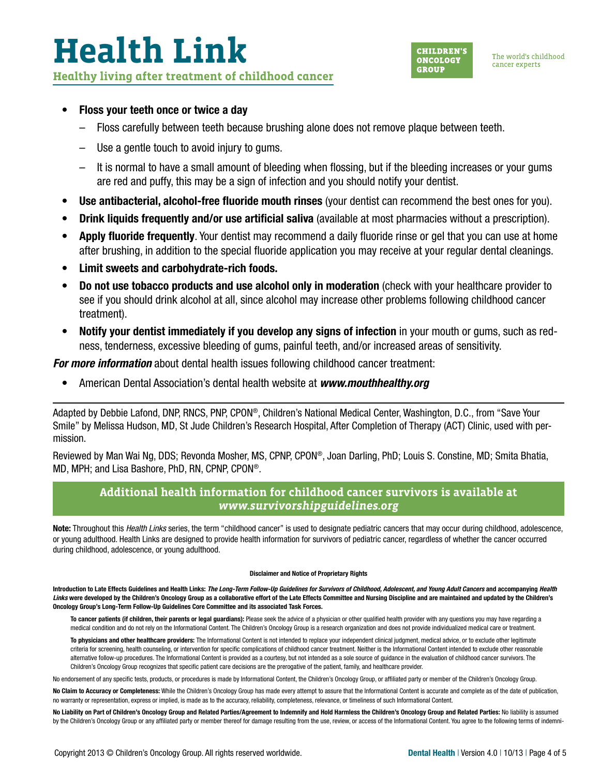## **Health Link Healthy living after treatment of childhood cancer**



#### • Floss your teeth once or twice a day

- Floss carefully between teeth because brushing alone does not remove plaque between teeth.
- Use a gentle touch to avoid injury to gums.
- It is normal to have a small amount of bleeding when flossing, but if the bleeding increases or your gums are red and puffy, this may be a sign of infection and you should notify your dentist.
- Use antibacterial, alcohol-free fluoride mouth rinses (your dentist can recommend the best ones for you).
- **Drink liquids frequently and/or use artificial saliva** (available at most pharmacies without a prescription).
- Apply fluoride frequently. Your dentist may recommend a daily fluoride rinse or gel that you can use at home after brushing, in addition to the special fluoride application you may receive at your regular dental cleanings.
- Limit sweets and carbohydrate-rich foods.
- Do not use tobacco products and use alcohol only in moderation (check with your healthcare provider to see if you should drink alcohol at all, since alcohol may increase other problems following childhood cancer treatment).
- Notify your dentist immediately if you develop any signs of infection in your mouth or gums, such as redness, tenderness, excessive bleeding of gums, painful teeth, and/or increased areas of sensitivity.

*For more information* about dental health issues following childhood cancer treatment:

• American Dental Association's dental health website at *[www.mouthhealthy.org](http://www.mouthhealthy.org)*

Adapted by Debbie Lafond, DNP, RNCS, PNP, CPON®, Children's National Medical Center, Washington, D.C., from "Save Your Smile" by Melissa Hudson, MD, St Jude Children's Research Hospital, After Completion of Therapy (ACT) Clinic, used with permission.

Reviewed by Man Wai Ng, DDS; Revonda Mosher, MS, CPNP, CPON®, Joan Darling, PhD; Louis S. Constine, MD; Smita Bhatia, MD, MPH; and Lisa Bashore, PhD, RN, CPNP, CPON®.

#### **Additional health information for childhood cancer survivors is available at**  *[www.survivorshipguidelines.org](http://www.survivorshipguidelines.org)*

Note: Throughout this *Health Links* series, the term "childhood cancer" is used to designate pediatric cancers that may occur during childhood, adolescence, or young adulthood. Health Links are designed to provide health information for survivors of pediatric cancer, regardless of whether the cancer occurred during childhood, adolescence, or young adulthood.

#### Disclaimer and Notice of Proprietary Rights

Introduction to Late Effects Guidelines and Health Links: *The Long-Term Follow-Up Guidelines for Survivors of Childhood, Adolescent, and Young Adult Cancers* and accompanying *Health*  Links were developed by the Children's Oncology Group as a collaborative effort of the Late Effects Committee and Nursing Discipline and are maintained and updated by the Children's Oncology Group's Long-Term Follow-Up Guidelines Core Committee and its associated Task Forces.

To cancer patients (if children, their parents or legal guardians): Please seek the advice of a physician or other qualified health provider with any questions you may have regarding a medical condition and do not rely on the Informational Content. The Children's Oncology Group is a research organization and does not provide individualized medical care or treatment.

To physicians and other healthcare providers: The Informational Content is not intended to replace your independent clinical judgment, medical advice, or to exclude other legitimate criteria for screening, health counseling, or intervention for specific complications of childhood cancer treatment. Neither is the Informational Content intended to exclude other reasonable alternative follow-up procedures. The Informational Content is provided as a courtesy, but not intended as a sole source of guidance in the evaluation of childhood cancer survivors. The Children's Oncology Group recognizes that specific patient care decisions are the prerogative of the patient, family, and healthcare provider.

No endorsement of any specific tests, products, or procedures is made by Informational Content, the Children's Oncology Group, or affiliated party or member of the Children's Oncology Group.

No Claim to Accuracy or Completeness: While the Children's Oncology Group has made every attempt to assure that the Informational Content is accurate and complete as of the date of publication, no warranty or representation, express or implied, is made as to the accuracy, reliability, completeness, relevance, or timeliness of such Informational Content.

No Liability on Part of Children's Oncology Group and Related Parties/Agreement to Indemnify and Hold Harmless the Children's Oncology Group and Related Parties: No liability is assumed by the Children's Oncology Group or any affiliated party or member thereof for damage resulting from the use, review, or access of the Informational Content. You agree to the following terms of indemni-